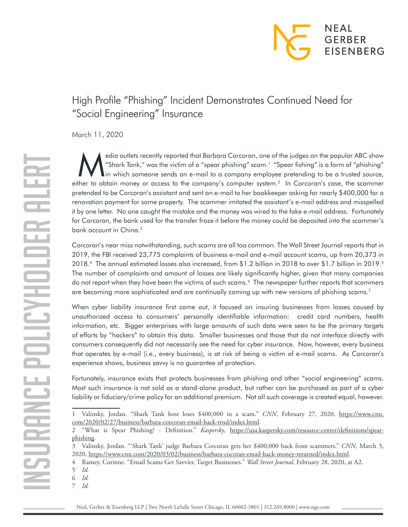

## High Profile "Phishing" Incident Demonstrates Continued Need for "Social Engineering" Insurance

March 11, 2020

Archives recently reported that Barbara Corcoran, one of the judges on the popular ABC show<br>
"Shark Tank," was the victim of a "spear phishing" scam.<sup>1</sup> "Spear fishing" is a form of "phishing"<br>
in which someone sends an e-"Shark Tank," was the victim of a "spear phishing" scam.1 "Spear fishing" is a form of "phishing" either to obtain money or access to the company's computer system.<sup>2</sup> In Corcoran's case, the scammer pretended to be Corcoran's assistant and sent an e-mail to her bookkeeper asking for nearly \$400,000 for a renovation payment for some property. The scammer imitated the assistant's e-mail address and misspelled it by one letter. No one caught the mistake and the money was wired to the fake e-mail address. Fortunately for Corcoran, the bank used for the transfer froze it before the money could be deposited into the scammer's bank account in China.<sup>3</sup>

Corcoran's near miss notwithstanding, such scams are all too common. The Wall Street Journal reports that in 2019, the FBI received 23,775 complaints of business e-mail and e-mail account scams, up from 20,373 in 2018.4 The annual estimated losses also increased, from \$1.2 billion in 2018 to over \$1.7 billion in 2019.5 The number of complaints and amount of losses are likely significantly higher, given that many companies do not report when they have been the victims of such scams.<sup>6</sup> The newspaper further reports that scammers are becoming more sophisticated and are continually coming up with new versions of phishing scams.<sup>7</sup>

When cyber liability insurance first came out, it focused on insuring businesses from losses caused by unauthorized access to consumers' personally identifiable information: credit card numbers, health information, etc. Bigger enterprises with large amounts of such data were seen to be the primary targets of efforts by "hackers" to obtain this data. Smaller businesses and those that do not interface directly with consumers consequently did not necessarily see the need for cyber insurance. Now, however, every business that operates by e-mail (i.e., every business), is at risk of being a victim of e-mail scams. As Corcoran's experience shows, business savvy is no guarantee of protection.

Fortunately, insurance exists that protects businesses from phishing and other "social engineering" scams. Most such insurance is not sold as a stand-alone product, but rather can be purchased as part of a cyber liability or fiduciary/crime policy for an additional premium. Not all such coverage is created equal, however.

7 *Id.*

<sup>1</sup> Valinsky, Jordan. "Shark Tank host loses \$400,000 in a scam." *CNN*, February 27, 2020, [https://www.cnn.](https://www.cnn.com/2020/02/27/business/barbara-corcoran-email-hack-trnd/index.html) [com/2020/02/27/business/barbara-corcoran-email-hack-trnd/index.html.](https://www.cnn.com/2020/02/27/business/barbara-corcoran-email-hack-trnd/index.html)

<sup>2</sup> "What is Spear Phishing? - Definition." *Kaspersky*, [https://usa.kaspersky.com/resource-center/definitions/spear](https://usa.kaspersky.com/resource-center/definitions/spear-phishing)[phishing](https://usa.kaspersky.com/resource-center/definitions/spear-phishing).

<sup>3</sup> Valinsky, Jordan. "'Shark Tank' judge Barbara Corcoran gets her \$400,000 back from scammers." *CNN*, March 3, 2020, [https://www.cnn.com/2020/03/02/business/barbara-cocoran-email-hack-money-returned/index.html.](https://www.cnn.com/2020/03/02/business/barbara-cocoran-email-hack-money-returned/index.html)

<sup>4</sup> Ramey, Corinne. "Email Scams Get Savvier, Target Businesses." *Wall Street Journal*, February 28, 2020, at A2.

<sup>5</sup> *Id.*

<sup>6</sup> *Id.*